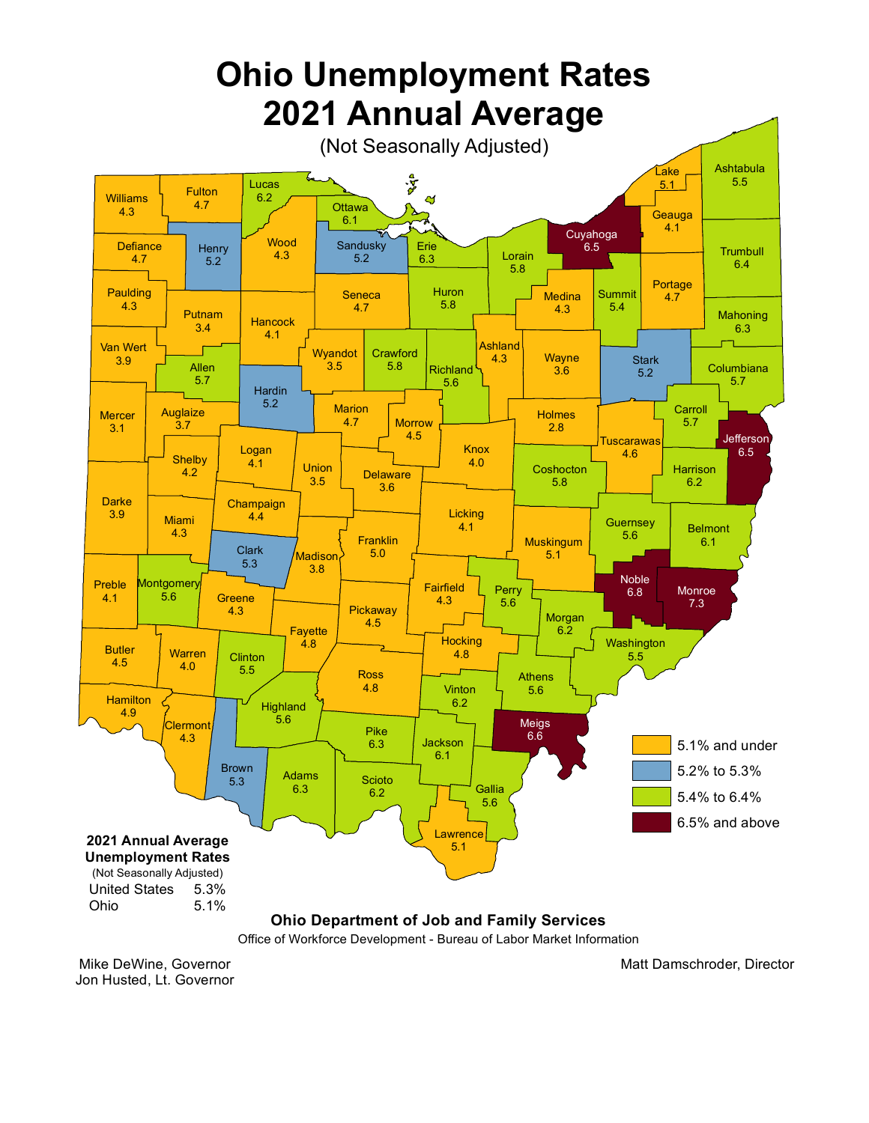

Mike DeWine, Governor Jon Husted, Lt. Governor Matt Damschroder, Director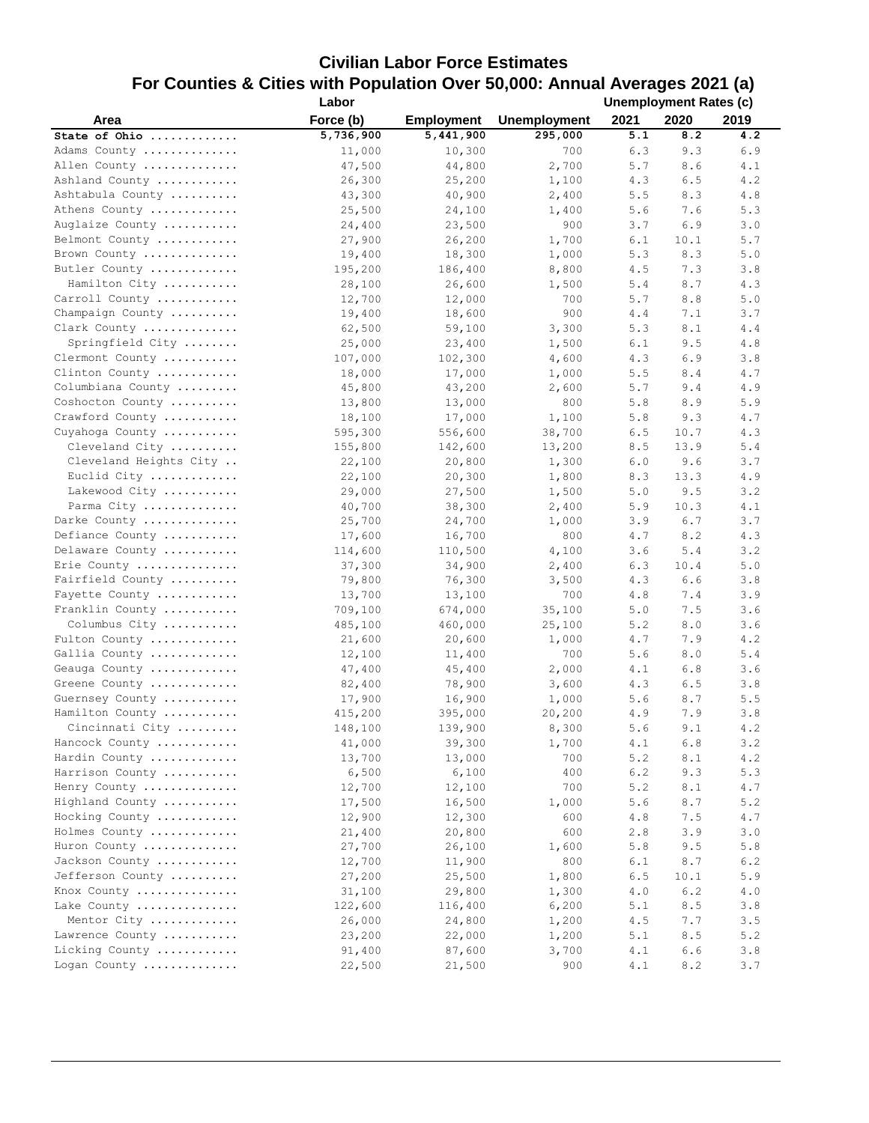## **Civilian Labor Force Estimates For Counties & Cities with Population Over 50,000: Annual Averages 2021 (a)**

|                        | Labor     |                   |                     | Unemployment Rates (c) |             |      |
|------------------------|-----------|-------------------|---------------------|------------------------|-------------|------|
| Area                   | Force (b) | <b>Employment</b> | <b>Unemployment</b> | 2021                   | 2020        | 2019 |
| State of Ohio          | 5,736,900 | 5,441,900         | 295,000             | 5.1                    | 8.2         | 4.2  |
| Adams County           | 11,000    | 10,300            | 700                 | 6.3                    | 9.3         | 6.9  |
| Allen County           | 47,500    | 44,800            | 2,700               | 5.7                    | 8.6         | 4.1  |
| Ashland County         | 26,300    | 25,200            | 1,100               | 4.3                    | 6.5         | 4.2  |
| Ashtabula County       | 43,300    | 40,900            | 2,400               | 5.5                    | 8.3         | 4.8  |
| Athens County          | 25,500    | 24,100            | 1,400               | 5.6                    | 7.6         | 5.3  |
| Auglaize County        | 24,400    | 23,500            | 900                 | 3.7                    | 6.9         | 3.0  |
| Belmont County         | 27,900    | 26,200            | 1,700               | 6.1                    | 10.1        | 5.7  |
| Brown County           | 19,400    | 18,300            | 1,000               | 5.3                    | 8.3         | 5.0  |
| Butler County          | 195,200   | 186,400           | 8,800               | 4.5                    | 7.3         | 3.8  |
| Hamilton City          | 28,100    | 26,600            | 1,500               | 5.4                    | 8.7         | 4.3  |
| Carroll County         | 12,700    | 12,000            | 700                 | 5.7                    | 8.8         | 5.0  |
| Champaign County       | 19,400    | 18,600            | 900                 | 4.4                    | 7.1         | 3.7  |
| Clark County           | 62,500    | 59,100            | 3,300               | 5.3                    | 8.1         | 4.4  |
| Springfield City       | 25,000    | 23,400            | 1,500               | 6.1                    | 9.5         | 4.8  |
| Clermont County        | 107,000   | 102,300           | 4,600               | 4.3                    | 6.9         | 3.8  |
| Clinton County         | 18,000    | 17,000            | 1,000               | 5.5                    | 8.4         | 4.7  |
| Columbiana County      | 45,800    | 43,200            | 2,600               | 5.7                    | 9.4         | 4.9  |
| Coshocton County       | 13,800    | 13,000            | 800                 | 5.8                    | 8.9         | 5.9  |
| Crawford County        | 18,100    | 17,000            | 1,100               | $5.8$                  | 9.3         | 4.7  |
| Cuyahoga County        | 595,300   | 556,600           | 38,700              | 6.5                    | 10.7        | 4.3  |
| Cleveland City         | 155,800   | 142,600           | 13,200              | 8.5                    | 13.9        | 5.4  |
| Cleveland Heights City | 22,100    | 20,800            | 1,300               | 6.0                    | 9.6         | 3.7  |
| Euclid City            | 22,100    | 20,300            | 1,800               | 8.3                    | 13.3        | 4.9  |
| Lakewood City          | 29,000    | 27,500            | 1,500               | 5.0                    | 9.5         | 3.2  |
| Parma City             | 40,700    | 38,300            | 2,400               | 5.9                    | 10.3        | 4.1  |
| Darke County           | 25,700    | 24,700            | 1,000               | 3.9                    | 6.7         | 3.7  |
| Defiance County        | 17,600    | 16,700            | 800                 | 4.7                    | 8.2         | 4.3  |
| Delaware County        | 114,600   | 110,500           | 4,100               | 3.6                    | 5.4         | 3.2  |
| Erie County            | 37,300    | 34,900            | 2,400               | 6.3                    | 10.4        | 5.0  |
| Fairfield County       | 79,800    | 76,300            | 3,500               | 4.3                    | 6.6         | 3.8  |
| Fayette County         | 13,700    | 13,100            | 700                 | 4.8                    | 7.4         | 3.9  |
| Franklin County        | 709,100   | 674,000           | 35,100              | 5.0                    | 7.5         | 3.6  |
| Columbus City          | 485,100   | 460,000           | 25,100              | 5.2                    | 8.0         | 3.6  |
| Fulton County          | 21,600    | 20,600            | 1,000               | 4.7                    | 7.9         | 4.2  |
| Gallia County          | 12,100    | 11,400            | 700                 | 5.6                    | 8.0         | 5.4  |
| Geauga County          | 47,400    | 45,400            | 2,000               | 4.1                    | 6.8         | 3.6  |
| Greene County          | 82,400    | 78,900            | 3,600               | 4.3                    | 6.5         | 3.8  |
| Guernsey County        | 17,900    | 16,900            | 1,000               | 5.6                    | 8.7         | 5.5  |
| Hamilton County        | 415,200   | 395,000           | 20,200              | 4.9                    | 7.9         | 3.8  |
| Cincinnati City        | 148,100   | 139,900           | 8,300               | 5.6                    | 9.1         | 4.2  |
| Hancock County         | 41,000    | 39,300            | 1,700               | 4.1                    | 6.8         | 3.2  |
| Hardin County          | 13,700    | 13,000            | 700                 | 5.2                    | 8.1         | 4.2  |
| Harrison County        | 6,500     | 6,100             | 400                 | 6.2                    | 9.3         | 5.3  |
| Henry County           | 12,700    | 12,100            | 700                 | 5.2                    | 8.1         | 4.7  |
| Highland County        | 17,500    | 16,500            | 1,000               | 5.6                    | 8.7         | 5.2  |
| Hocking County         | 12,900    | 12,300            | 600                 | 4.8                    | 7.5         | 4.7  |
| Holmes County          | 21,400    | 20,800            | 600                 | 2.8                    | 3.9         | 3.0  |
| Huron County           | 27,700    | 26,100            | 1,600               | 5.8                    | 9.5         | 5.8  |
| Jackson County         | 12,700    | 11,900            | 800                 | $6.1$                  | $\,8$ . $7$ | 6.2  |
| Jefferson County       | 27,200    | 25,500            | 1,800               | 6.5                    | 10.1        | 5.9  |
| Knox County            | 31,100    | 29,800            | 1,300               | 4.0                    | 6.2         | 4.0  |
| Lake County            | 122,600   | 116,400           | 6,200               | 5.1                    | 8.5         | 3.8  |
| Mentor City            | 26,000    | 24,800            | 1,200               | $4.5\,$                | 7.7         | 3.5  |
| Lawrence County        | 23,200    | 22,000            | 1,200               | 5.1                    | 8.5         | 5.2  |
| Licking County         | 91,400    | 87,600            | 3,700               | 4.1                    | 6.6         | 3.8  |
| Logan County           | 22,500    | 21,500            | 900                 | 4.1                    | 8.2         | 3.7  |
|                        |           |                   |                     |                        |             |      |